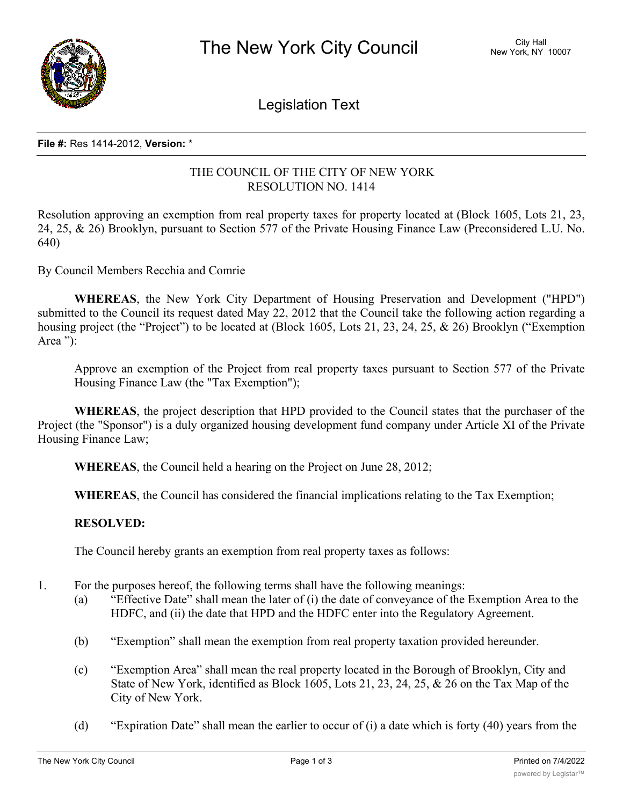

Legislation Text

## **File #:** Res 1414-2012, **Version:** \*

## THE COUNCIL OF THE CITY OF NEW YORK RESOLUTION NO. 1414

Resolution approving an exemption from real property taxes for property located at (Block 1605, Lots 21, 23, 24, 25, & 26) Brooklyn, pursuant to Section 577 of the Private Housing Finance Law (Preconsidered L.U. No. 640)

By Council Members Recchia and Comrie

**WHEREAS**, the New York City Department of Housing Preservation and Development ("HPD") submitted to the Council its request dated May 22, 2012 that the Council take the following action regarding a housing project (the "Project") to be located at (Block 1605, Lots 21, 23, 24, 25, & 26) Brooklyn ("Exemption Area "):

Approve an exemption of the Project from real property taxes pursuant to Section 577 of the Private Housing Finance Law (the "Tax Exemption");

**WHEREAS**, the project description that HPD provided to the Council states that the purchaser of the Project (the "Sponsor") is a duly organized housing development fund company under Article XI of the Private Housing Finance Law;

**WHEREAS**, the Council held a hearing on the Project on June 28, 2012;

**WHEREAS**, the Council has considered the financial implications relating to the Tax Exemption;

## **RESOLVED:**

The Council hereby grants an exemption from real property taxes as follows:

- 1. For the purposes hereof, the following terms shall have the following meanings:
	- (a) "Effective Date" shall mean the later of (i) the date of conveyance of the Exemption Area to the HDFC, and (ii) the date that HPD and the HDFC enter into the Regulatory Agreement.
	- (b) "Exemption" shall mean the exemption from real property taxation provided hereunder.
	- (c) "Exemption Area" shall mean the real property located in the Borough of Brooklyn, City and State of New York, identified as Block 1605, Lots 21, 23, 24, 25, & 26 on the Tax Map of the City of New York.
	- (d) "Expiration Date" shall mean the earlier to occur of (i) a date which is forty (40) years from the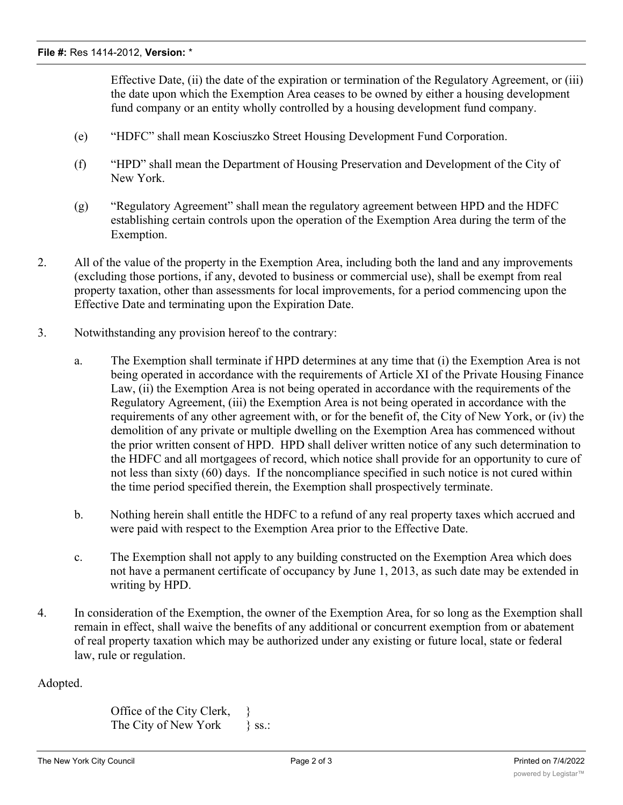Effective Date, (ii) the date of the expiration or termination of the Regulatory Agreement, or (iii) the date upon which the Exemption Area ceases to be owned by either a housing development fund company or an entity wholly controlled by a housing development fund company.

- (e) "HDFC" shall mean Kosciuszko Street Housing Development Fund Corporation.
- (f) "HPD" shall mean the Department of Housing Preservation and Development of the City of New York.
- (g) "Regulatory Agreement" shall mean the regulatory agreement between HPD and the HDFC establishing certain controls upon the operation of the Exemption Area during the term of the Exemption.
- 2. All of the value of the property in the Exemption Area, including both the land and any improvements (excluding those portions, if any, devoted to business or commercial use), shall be exempt from real property taxation, other than assessments for local improvements, for a period commencing upon the Effective Date and terminating upon the Expiration Date.
- 3. Notwithstanding any provision hereof to the contrary:
	- a. The Exemption shall terminate if HPD determines at any time that (i) the Exemption Area is not being operated in accordance with the requirements of Article XI of the Private Housing Finance Law, (ii) the Exemption Area is not being operated in accordance with the requirements of the Regulatory Agreement, (iii) the Exemption Area is not being operated in accordance with the requirements of any other agreement with, or for the benefit of, the City of New York, or (iv) the demolition of any private or multiple dwelling on the Exemption Area has commenced without the prior written consent of HPD. HPD shall deliver written notice of any such determination to the HDFC and all mortgagees of record, which notice shall provide for an opportunity to cure of not less than sixty (60) days. If the noncompliance specified in such notice is not cured within the time period specified therein, the Exemption shall prospectively terminate.
	- b. Nothing herein shall entitle the HDFC to a refund of any real property taxes which accrued and were paid with respect to the Exemption Area prior to the Effective Date.
	- c. The Exemption shall not apply to any building constructed on the Exemption Area which does not have a permanent certificate of occupancy by June 1, 2013, as such date may be extended in writing by HPD.
- 4. In consideration of the Exemption, the owner of the Exemption Area, for so long as the Exemption shall remain in effect, shall waive the benefits of any additional or concurrent exemption from or abatement of real property taxation which may be authorized under any existing or future local, state or federal law, rule or regulation.

Adopted.

```
Office of the City Clerk, }
The City of New York } ss.:
```